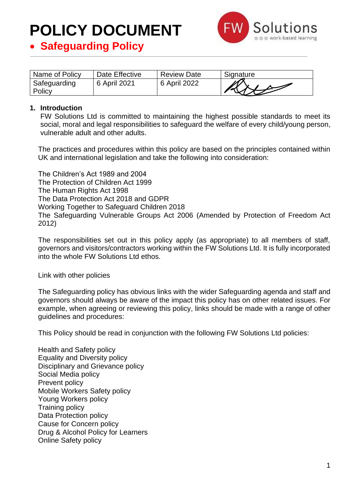

|  |  | • Safeguarding Policy |  |  |
|--|--|-----------------------|--|--|
|--|--|-----------------------|--|--|

| Name of Policy         | Date Effective | <b>Review Date</b> | Signature |
|------------------------|----------------|--------------------|-----------|
| Safeguarding<br>Policy | 6 April 2021   | 6 April 2022       |           |

#### **1. Introduction**

FW Solutions Ltd is committed to maintaining the highest possible standards to meet its social, moral and legal responsibilities to safeguard the welfare of every child/young person, vulnerable adult and other adults.

The practices and procedures within this policy are based on the principles contained within UK and international legislation and take the following into consideration:

The Children's Act 1989 and 2004 The Protection of Children Act 1999 The Human Rights Act 1998 The Data Protection Act 2018 and GDPR Working Together to Safeguard Children 2018 The Safeguarding Vulnerable Groups Act 2006 (Amended by Protection of Freedom Act 2012)

The responsibilities set out in this policy apply (as appropriate) to all members of staff, governors and visitors/contractors working within the FW Solutions Ltd. It is fully incorporated into the whole FW Solutions Ltd ethos.

Link with other policies

The Safeguarding policy has obvious links with the wider Safeguarding agenda and staff and governors should always be aware of the impact this policy has on other related issues. For example, when agreeing or reviewing this policy, links should be made with a range of other guidelines and procedures:

This Policy should be read in conjunction with the following FW Solutions Ltd policies:

Health and Safety policy Equality and Diversity policy Disciplinary and Grievance policy Social Media policy Prevent policy Mobile Workers Safety policy Young Workers policy Training policy Data Protection policy Cause for Concern policy Drug & Alcohol Policy for Learners Online Safety policy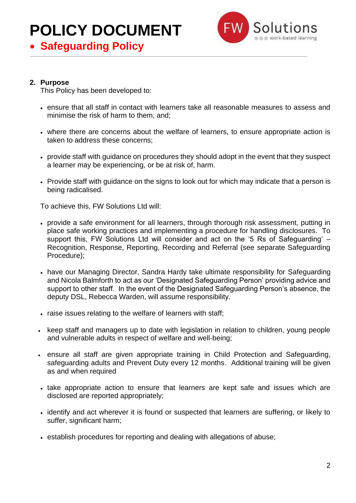



#### **2. Purpose**

This Policy has been developed to:

- ensure that all staff in contact with learners take all reasonable measures to assess and minimise the risk of harm to them, and;
- where there are concerns about the welfare of learners, to ensure appropriate action is taken to address these concerns;
- provide staff with guidance on procedures they should adopt in the event that they suspect a learner may be experiencing, or be at risk of, harm.
- Provide staff with guidance on the signs to look out for which may indicate that a person is being radicalised.

To achieve this, FW Solutions Ltd will:

- provide a safe environment for all learners, through thorough risk assessment, putting in place safe working practices and implementing a procedure for handling disclosures. To support this, FW Solutions Ltd will consider and act on the '5 Rs of Safeguarding' – Recognition, Response, Reporting, Recording and Referral (see separate Safeguarding Procedure);
- have our Managing Director, Sandra Hardy take ultimate responsibility for Safeguarding and Nicola Balmforth to act as our 'Designated Safeguarding Person' providing advice and support to other staff. In the event of the Designated Safeguarding Person's absence, the deputy DSL, Rebecca Warden, will assume responsibility.
- raise issues relating to the welfare of learners with staff;
- keep staff and managers up to date with legislation in relation to children, young people and vulnerable adults in respect of welfare and well-being;
- ensure all staff are given appropriate training in Child Protection and Safeguarding, safeguarding adults and Prevent Duty every 12 months. Additional training will be given as and when required
- take appropriate action to ensure that learners are kept safe and issues which are disclosed are reported appropriately;
- identify and act wherever it is found or suspected that learners are suffering, or likely to suffer, significant harm;
- establish procedures for reporting and dealing with allegations of abuse;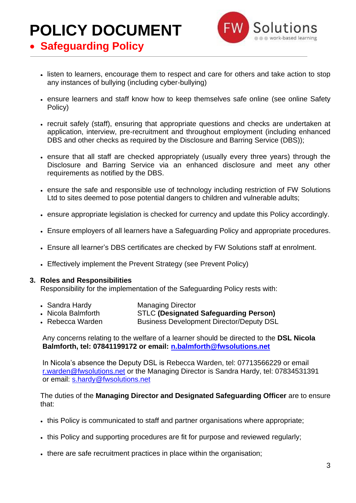

• **Safeguarding Policy**

- listen to learners, encourage them to respect and care for others and take action to stop any instances of bullying (including cyber-bullying)
- ensure learners and staff know how to keep themselves safe online (see online Safety Policy)
- recruit safely (staff), ensuring that appropriate questions and checks are undertaken at application, interview, pre-recruitment and throughout employment (including enhanced DBS and other checks as required by the Disclosure and Barring Service (DBS));
- ensure that all staff are checked appropriately (usually every three years) through the Disclosure and Barring Service via an enhanced disclosure and meet any other requirements as notified by the DBS.
- ensure the safe and responsible use of technology including restriction of FW Solutions Ltd to sites deemed to pose potential dangers to children and vulnerable adults;
- ensure appropriate legislation is checked for currency and update this Policy accordingly.
- Ensure employers of all learners have a Safeguarding Policy and appropriate procedures.
- Ensure all learner's DBS certificates are checked by FW Solutions staff at enrolment.
- Effectively implement the Prevent Strategy (see Prevent Policy)

#### **3. Roles and Responsibilities**

Responsibility for the implementation of the Safeguarding Policy rests with:

- Sandra Hardy Managing Director
- Nicola Balmforth STLC **(Designated Safeguarding Person)**
- Rebecca Warden Business Development Director/Deputy DSL

Any concerns relating to the welfare of a learner should be directed to the **DSL Nicola Balmforth, tel: 07841199172 or email: [n.balmforth@fwsolutions.net](mailto:n.balmforth@fwsolutions.net)**

In Nicola's absence the Deputy DSL is Rebecca Warden, tel: 07713566229 or email [r.warden@fwsolutions.net](mailto:r.warden@fwsolutions.net) or the Managing Director is Sandra Hardy, [tel: 07834531391](mailto:tel:%2007834531391) or email: s.hardy@fwsolutions.net

The duties of the **Managing Director and Designated Safeguarding Officer** are to ensure that:

- this Policy is communicated to staff and partner organisations where appropriate;
- this Policy and supporting procedures are fit for purpose and reviewed regularly;
- there are safe recruitment practices in place within the organisation;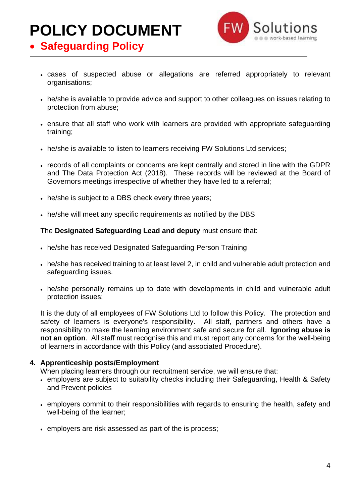

- **Safeguarding Policy**
	- cases of suspected abuse or allegations are referred appropriately to relevant organisations;
	- he/she is available to provide advice and support to other colleagues on issues relating to protection from abuse;
	- ensure that all staff who work with learners are provided with appropriate safeguarding training;
	- he/she is available to listen to learners receiving FW Solutions Ltd services;
	- records of all complaints or concerns are kept centrally and stored in line with the GDPR and The Data Protection Act (2018). These records will be reviewed at the Board of Governors meetings irrespective of whether they have led to a referral;
	- he/she is subject to a DBS check every three years;
	- he/she will meet any specific requirements as notified by the DBS

The **Designated Safeguarding Lead and deputy** must ensure that:

- he/she has received Designated Safeguarding Person Training
- he/she has received training to at least level 2, in child and vulnerable adult protection and safeguarding issues.
- he/she personally remains up to date with developments in child and vulnerable adult protection issues;

It is the duty of all employees of FW Solutions Ltd to follow this Policy. The protection and safety of learners is everyone's responsibility. All staff, partners and others have a responsibility to make the learning environment safe and secure for all. **Ignoring abuse is not an option.** All staff must recognise this and must report any concerns for the well-being of learners in accordance with this Policy (and associated Procedure).

#### **4. Apprenticeship posts/Employment**

When placing learners through our recruitment service, we will ensure that:

- employers are subject to suitability checks including their Safeguarding, Health & Safety and Prevent policies
- employers commit to their responsibilities with regards to ensuring the health, safety and well-being of the learner;
- employers are risk assessed as part of the is process;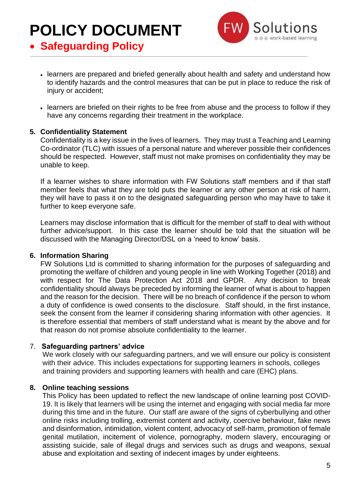• **Safeguarding Policy**



- learners are prepared and briefed generally about health and safety and understand how to identify hazards and the control measures that can be put in place to reduce the risk of injury or accident;
- learners are briefed on their rights to be free from abuse and the process to follow if they have any concerns regarding their treatment in the workplace.

#### **5. Confidentiality Statement**

Confidentiality is a key issue in the lives of learners. They may trust a Teaching and Learning Co-ordinator (TLC) with issues of a personal nature and wherever possible their confidences should be respected. However, staff must not make promises on confidentiality they may be unable to keep.

If a learner wishes to share information with FW Solutions staff members and if that staff member feels that what they are told puts the learner or any other person at risk of harm, they will have to pass it on to the designated safeguarding person who may have to take it further to keep everyone safe.

Learners may disclose information that is difficult for the member of staff to deal with without further advice/support. In this case the learner should be told that the situation will be discussed with the Managing Director/DSL on a 'need to know' basis.

#### **6. Information Sharing**

FW Solutions Ltd is committed to sharing information for the purposes of safeguarding and promoting the welfare of children and young people in line with Working Together (2018) and with respect for The Data Protection Act 2018 and GPDR. Any decision to break confidentiality should always be preceded by informing the learner of what is about to happen and the reason for the decision. There will be no breach of confidence if the person to whom a duty of confidence is owed consents to the disclosure. Staff should, in the first instance, seek the consent from the learner if considering sharing information with other agencies. It is therefore essential that members of staff understand what is meant by the above and for that reason do not promise absolute confidentiality to the learner.

#### 7. **Safeguarding partners' advice**

We work closely with our safeguarding partners, and we will ensure our policy is consistent with their advice. This includes expectations for supporting learners in schools, colleges and training providers and supporting learners with health and care (EHC) plans.

#### **8. Online teaching sessions**

This Policy has been updated to reflect the new landscape of online learning post COVID-19. It is likely that learners will be using the internet and engaging with social media far more during this time and in the future. Our staff are aware of the signs of cyberbullying and other online risks including trolling, extremist content and activity, coercive behaviour, fake news and disinformation, intimidation, violent content, advocacy of self-harm, promotion of female genital mutilation, incitement of violence, pornography, modern slavery, encouraging or assisting suicide, sale of illegal drugs and services such as drugs and weapons, sexual abuse and exploitation and sexting of indecent images by under eighteens.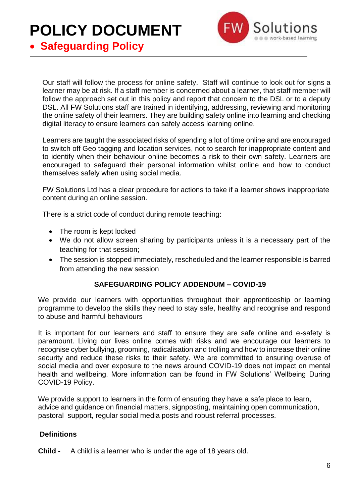

• **Safeguarding Policy**

Our staff will follow the process for online safety. Staff will continue to look out for signs a learner may be at risk. If a staff member is concerned about a learner, that staff member will follow the approach set out in this policy and report that concern to the DSL or to a deputy DSL. All FW Solutions staff are trained in identifying, addressing, reviewing and monitoring the online safety of their learners. They are building safety online into learning and checking digital literacy to ensure learners can safely access learning online.

Learners are taught the associated risks of spending a lot of time online and are encouraged to switch off Geo tagging and location services, not to search for inappropriate content and to identify when their behaviour online becomes a risk to their own safety. Learners are encouraged to safeguard their personal information whilst online and how to conduct themselves safely when using social media.

FW Solutions Ltd has a clear procedure for actions to take if a learner shows inappropriate content during an online session.

There is a strict code of conduct during remote teaching:

- The room is kept locked
- We do not allow screen sharing by participants unless it is a necessary part of the teaching for that session;
- The session is stopped immediately, rescheduled and the learner responsible is barred from attending the new session

#### **SAFEGUARDING POLICY ADDENDUM – COVID-19**

We provide our learners with opportunities throughout their apprenticeship or learning programme to develop the skills they need to stay safe, healthy and recognise and respond to abuse and harmful behaviours

It is important for our learners and staff to ensure they are safe online and e-safety is paramount. Living our lives online comes with risks and we encourage our learners to recognise cyber bullying, grooming, radicalisation and trolling and how to increase their online security and reduce these risks to their safety. We are committed to ensuring overuse of social media and over exposure to the news around COVID-19 does not impact on mental health and wellbeing. More information can be found in FW Solutions' Wellbeing During COVID-19 Policy.

We provide support to learners in the form of ensuring they have a safe place to learn, advice and guidance on financial matters, signposting, maintaining open communication, pastoral support, regular social media posts and robust referral processes.

#### **Definitions**

**Child -** A child is a learner who is under the age of 18 years old.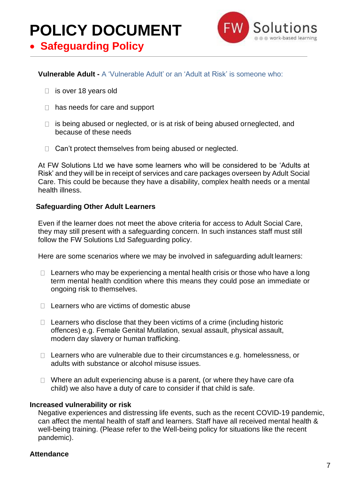

### • **Safeguarding Policy**

#### **Vulnerable Adult -** A 'Vulnerable Adult' or an 'Adult at Risk' is someone who:

- $\Box$  is over 18 years old
- $\Box$  has needs for care and support
- $\Box$  is being abused or neglected, or is at risk of being abused orneglected, and because of these needs
- $\Box$  Can't protect themselves from being abused or neglected.

At FW Solutions Ltd we have some learners who will be considered to be 'Adults at Risk' and they will be in receipt of services and care packages overseen by Adult Social Care. This could be because they have a disability, complex health needs or a mental health illness.

#### **Safeguarding Other Adult Learners**

Even if the learner does not meet the above criteria for access to Adult Social Care, they may still present with a safeguarding concern. In such instances staff must still follow the FW Solutions Ltd Safeguarding policy.

Here are some scenarios where we may be involved in safeguarding adult learners:

- $\Box$  Learners who may be experiencing a mental health crisis or those who have a long term mental health condition where this means they could pose an immediate or ongoing risk to themselves.
- $\Box$  Learners who are victims of domestic abuse
- $\Box$  Learners who disclose that they been victims of a crime (including historic offences) e.g. Female Genital Mutilation, sexual assault, physical assault, modern day slavery or human trafficking.
- $\Box$  Learners who are vulnerable due to their circumstances e.g. homelessness, or adults with substance or alcohol misuse issues.
- $\Box$  Where an adult experiencing abuse is a parent, (or where they have care of a child) we also have a duty of care to consider if that child is safe.

#### **Increased vulnerability or risk**

Negative experiences and distressing life events, such as the recent COVID-19 pandemic, can affect the mental health of staff and learners. Staff have all received mental health & well-being training. (Please refer to the Well-being policy for situations like the recent pandemic).

#### **Attendance**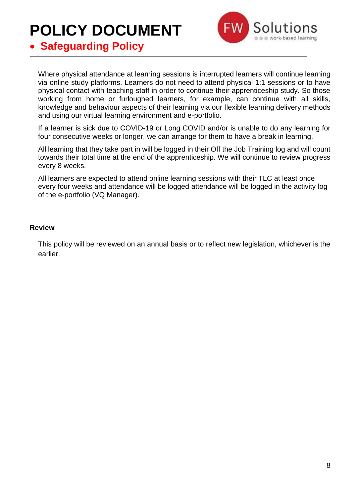

• **Safeguarding Policy**

Where physical attendance at learning sessions is interrupted learners will continue learning via online study platforms. Learners do not need to attend physical 1:1 sessions or to have physical contact with teaching staff in order to continue their apprenticeship study. So those working from home or furloughed learners, for example, can continue with all skills, knowledge and behaviour aspects of their learning via our flexible learning delivery methods and using our virtual learning environment and e-portfolio.

If a learner is sick due to COVID-19 or Long COVID and/or is unable to do any learning for four consecutive weeks or longer, we can arrange for them to have a break in learning.

All learning that they take part in will be logged in their Off the Job Training log and will count towards their total time at the end of the apprenticeship. We will continue to review progress every 8 weeks.

All learners are expected to attend online learning sessions with their TLC at least once every four weeks and attendance will be logged attendance will be logged in the activity log of the e-portfolio (VQ Manager).

#### **Review**

This policy will be reviewed on an annual basis or to reflect new legislation, whichever is the earlier.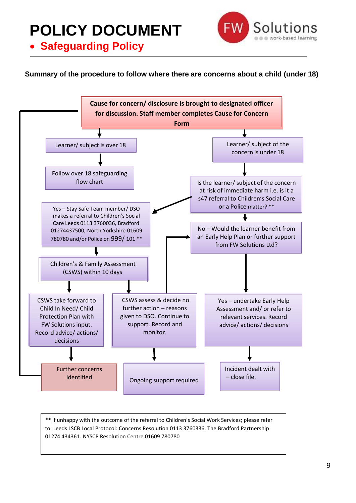• **Safeguarding Policy**



#### **Summary of the procedure to follow where there are concerns about a child (under 18)**



\*\* If unhappy with the outcome of the referral to Children's Social Work Services; please refer to: Leeds LSCB Local Protocol: Concerns Resolution 0113 3760336. The Bradford Partnership 01274 434361. NYSCP Resolution Centre 01609 780780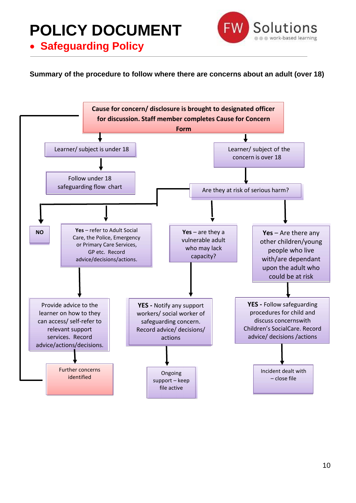• **Safeguarding Policy**



**Summary of the procedure to follow where there are concerns about an adult (over 18)**

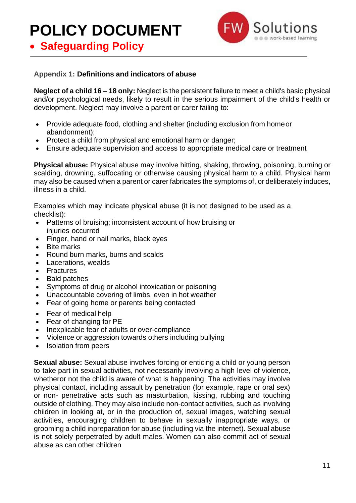• **Safeguarding Policy**



#### **Appendix 1: Definitions and indicators of abuse**

**Neglect of a child 16 – 18 only:** Neglect is the persistent failure to meet a child's basic physical and/or psychological needs, likely to result in the serious impairment of the child's health or development. Neglect may involve a parent or carer failing to:

- Provide adequate food, clothing and shelter (including exclusion from home or abandonment);
- Protect a child from physical and emotional harm or danger;
- Ensure adequate supervision and access to appropriate medical care or treatment

**Physical abuse:** Physical abuse may involve hitting, shaking, throwing, poisoning, burning or scalding, drowning, suffocating or otherwise causing physical harm to a child. Physical harm may also be caused when a parent or carer fabricates the symptoms of, or deliberately induces, illness in a child.

Examples which may indicate physical abuse (it is not designed to be used as a checklist):

- Patterns of bruising; inconsistent account of how bruising or injuries occurred
- Finger, hand or nail marks, black eyes
- **Bite marks**
- Round burn marks, burns and scalds
- Lacerations, wealds
- Fractures
- Bald patches
- Symptoms of drug or alcohol intoxication or poisoning
- Unaccountable covering of limbs, even in hot weather
- Fear of going home or parents being contacted
- Fear of medical help
- Fear of changing for PE
- Inexplicable fear of adults or over-compliance
- Violence or aggression towards others including bullying
- Isolation from peers

**Sexual abuse:** Sexual abuse involves forcing or enticing a child or young person to take part in sexual activities, not necessarily involving a high level of violence, whetheror not the child is aware of what is happening. The activities may involve physical contact, including assault by penetration (for example, rape or oral sex) or non- penetrative acts such as masturbation, kissing, rubbing and touching outside of clothing. They may also include non-contact activities, such as involving children in looking at, or in the production of, sexual images, watching sexual activities, encouraging children to behave in sexually inappropriate ways, or grooming a child inpreparation for abuse (including via the internet). Sexual abuse is not solely perpetrated by adult males. Women can also commit act of sexual abuse as can other children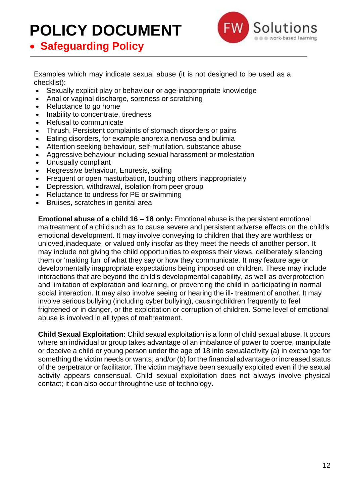

• **Safeguarding Policy**

Examples which may indicate sexual abuse (it is not designed to be used as a checklist):

- Sexually explicit play or behaviour or age-inappropriate knowledge
- Anal or vaginal discharge, soreness or scratching
- Reluctance to go home
- Inability to concentrate, tiredness
- Refusal to communicate
- Thrush, Persistent complaints of stomach disorders or pains
- Eating disorders, for example anorexia nervosa and bulimia
- Attention seeking behaviour, self-mutilation, substance abuse
- Agaressive behaviour including sexual harassment or molestation
- Unusually compliant
- Regressive behaviour, Enuresis, soiling
- Frequent or open masturbation, touching others inappropriately
- Depression, withdrawal, isolation from peer group
- Reluctance to undress for PE or swimming
- Bruises, scratches in genital area

**Emotional abuse of a child 16 – 18 only:** Emotional abuse is the persistent emotional maltreatment of a child such as to cause severe and persistent adverse effects on the child's emotional development. It may involve conveying to children that they are worthless or unloved,inadequate, or valued only insofar as they meet the needs of another person. It may include not giving the child opportunities to express their views, deliberately silencing them or 'making fun' of what they say or how they communicate. It may feature age or developmentally inappropriate expectations being imposed on children. These may include interactions that are beyond the child's developmental capability, as well as overprotection and limitation of exploration and learning, or preventing the child in participating in normal social interaction. It may also involve seeing or hearing the ill- treatment of another. It may involve serious bullying (including cyber bullying), causingchildren frequently to feel frightened or in danger, or the exploitation or corruption of children. Some level of emotional abuse is involved in all types of maltreatment.

**Child Sexual Exploitation:** Child sexual exploitation is a form of child sexual abuse. It occurs where an individual or group takes advantage of an imbalance of power to coerce, manipulate or deceive a child or young person under the age of 18 into sexualactivity (a) in exchange for something the victim needs or wants, and/or (b) for the financial advantage or increased status of the perpetrator or facilitator. The victim mayhave been sexually exploited even if the sexual activity appears consensual. Child sexual exploitation does not always involve physical contact; it can also occur throughthe use of technology.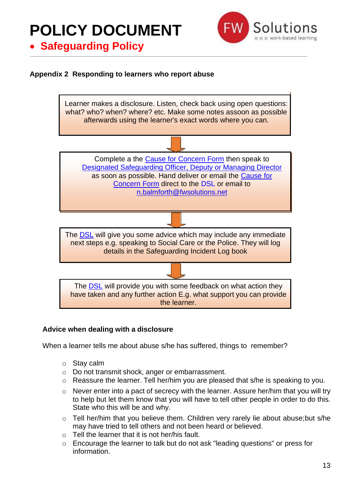

• **Safeguarding Policy**

#### **Appendix 2 Responding to learners who report abuse**



#### **Advice when dealing with a disclosure**

When a learner tells me about abuse s/he has suffered, things to remember?

- o Stay calm
- o Do not transmit shock, anger or embarrassment.
- o Reassure the learner. Tell her/him you are pleased that s/he is speaking to you.
- o Never enter into a pact of secrecy with the learner. Assure her/him that you will try to help but let them know that you will have to tell other people in order to do this. State who this will be and why.
- o Tell her/him that you believe them. Children very rarely lie about abuse;but s/he may have tried to tell others and not been heard or believed.
- $\circ$  Tell the learner that it is not her/his fault.
- o Encourage the learner to talk but do not ask "leading questions" or press for information.